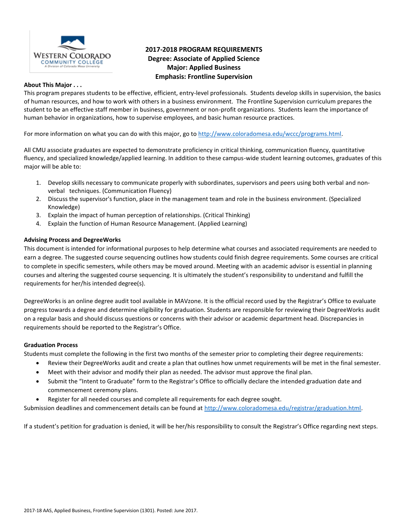

# **2017-2018 PROGRAM REQUIREMENTS Degree: Associate of Applied Science Major: Applied Business Emphasis: Frontline Supervision**

### **About This Major . . .**

This program prepares students to be effective, efficient, entry-level professionals. Students develop skills in supervision, the basics of human resources, and how to work with others in a business environment. The Frontline Supervision curriculum prepares the student to be an effective staff member in business, government or non-profit organizations. Students learn the importance of human behavior in organizations, how to supervise employees, and basic human resource practices.

For more information on what you can do with this major, go t[o http://www.coloradomesa.edu/wccc/programs.html.](http://www.coloradomesa.edu/wccc/programs.html)

All CMU associate graduates are expected to demonstrate proficiency in critical thinking, communication fluency, quantitative fluency, and specialized knowledge/applied learning. In addition to these campus-wide student learning outcomes, graduates of this major will be able to:

- 1. Develop skills necessary to communicate properly with subordinates, supervisors and peers using both verbal and nonverbal techniques. (Communication Fluency)
- 2. Discuss the supervisor's function, place in the management team and role in the business environment. (Specialized Knowledge)
- 3. Explain the impact of human perception of relationships. (Critical Thinking)
- 4. Explain the function of Human Resource Management. (Applied Learning)

### **Advising Process and DegreeWorks**

This document is intended for informational purposes to help determine what courses and associated requirements are needed to earn a degree. The suggested course sequencing outlines how students could finish degree requirements. Some courses are critical to complete in specific semesters, while others may be moved around. Meeting with an academic advisor is essential in planning courses and altering the suggested course sequencing. It is ultimately the student's responsibility to understand and fulfill the requirements for her/his intended degree(s).

DegreeWorks is an online degree audit tool available in MAVzone. It is the official record used by the Registrar's Office to evaluate progress towards a degree and determine eligibility for graduation. Students are responsible for reviewing their DegreeWorks audit on a regular basis and should discuss questions or concerns with their advisor or academic department head. Discrepancies in requirements should be reported to the Registrar's Office.

### **Graduation Process**

Students must complete the following in the first two months of the semester prior to completing their degree requirements:

- Review their DegreeWorks audit and create a plan that outlines how unmet requirements will be met in the final semester.
- Meet with their advisor and modify their plan as needed. The advisor must approve the final plan.
- Submit the "Intent to Graduate" form to the Registrar's Office to officially declare the intended graduation date and commencement ceremony plans.
- Register for all needed courses and complete all requirements for each degree sought.

Submission deadlines and commencement details can be found at [http://www.coloradomesa.edu/registrar/graduation.html.](http://www.coloradomesa.edu/registrar/graduation.html)

If a student's petition for graduation is denied, it will be her/his responsibility to consult the Registrar's Office regarding next steps.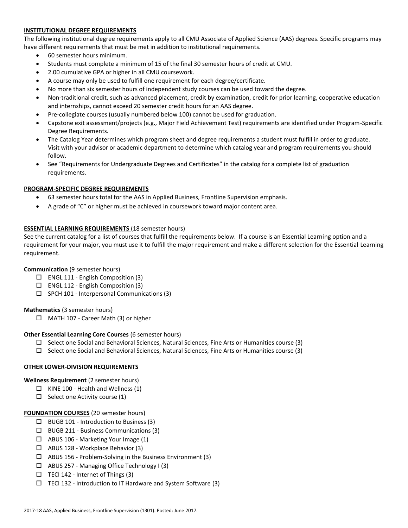# **INSTITUTIONAL DEGREE REQUIREMENTS**

The following institutional degree requirements apply to all CMU Associate of Applied Science (AAS) degrees. Specific programs may have different requirements that must be met in addition to institutional requirements.

- 60 semester hours minimum.
- Students must complete a minimum of 15 of the final 30 semester hours of credit at CMU.
- 2.00 cumulative GPA or higher in all CMU coursework.
- A course may only be used to fulfill one requirement for each degree/certificate.
- No more than six semester hours of independent study courses can be used toward the degree.
- Non-traditional credit, such as advanced placement, credit by examination, credit for prior learning, cooperative education and internships, cannot exceed 20 semester credit hours for an AAS degree.
- Pre-collegiate courses (usually numbered below 100) cannot be used for graduation.
- Capstone exit assessment/projects (e.g., Major Field Achievement Test) requirements are identified under Program-Specific Degree Requirements.
- The Catalog Year determines which program sheet and degree requirements a student must fulfill in order to graduate. Visit with your advisor or academic department to determine which catalog year and program requirements you should follow.
- See "Requirements for Undergraduate Degrees and Certificates" in the catalog for a complete list of graduation requirements.

### **PROGRAM-SPECIFIC DEGREE REQUIREMENTS**

- 63 semester hours total for the AAS in Applied Business, Frontline Supervision emphasis.
- A grade of "C" or higher must be achieved in coursework toward major content area.

### **ESSENTIAL LEARNING REQUIREMENTS** (18 semester hours)

See the current catalog for a list of courses that fulfill the requirements below. If a course is an Essential Learning option and a requirement for your major, you must use it to fulfill the major requirement and make a different selection for the Essential Learning requirement.

# **Communication** (9 semester hours)

- ENGL 111 English Composition (3)
- $\square$  ENGL 112 English Composition (3)
- $\square$  SPCH 101 Interpersonal Communications (3)

### **Mathematics** (3 semester hours)

□ MATH 107 - Career Math (3) or higher

### **Other Essential Learning Core Courses** (6 semester hours)

- $\Box$  Select one Social and Behavioral Sciences, Natural Sciences, Fine Arts or Humanities course (3)
- $\square$  Select one Social and Behavioral Sciences, Natural Sciences, Fine Arts or Humanities course (3)

# **OTHER LOWER-DIVISION REQUIREMENTS**

### **Wellness Requirement** (2 semester hours)

- $\Box$  KINE 100 Health and Wellness (1)
- $\Box$  Select one Activity course (1)

### **FOUNDATION COURSES** (20 semester hours)

- $\Box$  BUGB 101 Introduction to Business (3)
- $\Box$  BUGB 211 Business Communications (3)
- ABUS 106 Marketing Your Image (1)
- ABUS 128 Workplace Behavior (3)
- $\Box$  ABUS 156 Problem-Solving in the Business Environment (3)
- ABUS 257 Managing Office Technology I (3)
- $\Box$  TECI 142 Internet of Things (3)
- $\Box$  TECI 132 Introduction to IT Hardware and System Software (3)